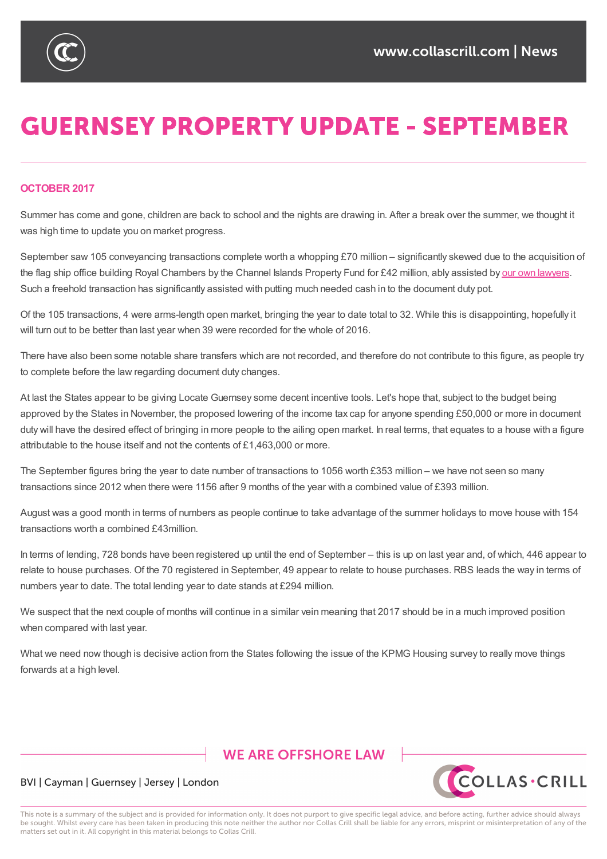

# **GUERNSEY PROPERTY UPDATE - SEPTEMBER**

### **OCTOBER 2017**

Summer has come and gone, children are back to school and the nights are drawing in. After a break over the summer, we thought it was high time to update you on market progress.

September saw 105 conveyancing transactions complete worth a whopping £70 million – significantly skewed due to the acquisition of the flag ship office building Royal Chambers by the Channel Islands Property Fund for £42 million, ably assisted by our own lawyers. Such a freehold transaction has significantly assisted with putting much needed cash in to the document duty pot.

Of the 105 transactions, 4 were arms-length open market, bringing the year to date total to 32. While this is disappointing, [hopefully](https://www.collascrill.com/news/deals/cc-collas-crill-advises-cipf-on-latest-acquisition/) it will turn out to be better than last year when 39 were recorded for the whole of 2016.

There have also been some notable share transfers which are not recorded, and therefore do not contribute to this figure, as people try to complete before the law regarding document duty changes.

At last the States appear to be giving Locate Guernsey some decent incentive tools. Let's hope that, subject to the budget being approved by the States in November, the proposed lowering of the income tax cap for anyone spending £50,000 or more in document duty will have the desired effect of bringing in more people to the ailing open market. In real terms, that equates to a house with a figure attributable to the house itself and not the contents of £1,463,000 or more.

The September figures bring the year to date number of transactions to 1056 worth £353 million – we have not seen so many transactions since 2012 when there were 1156 after 9 months of the year with a combined value of £393 million.

August was a good month in terms of numbers as people continue to take advantage of the summer holidays to move house with 154 transactions worth a combined £43million.

In terms of lending, 728 bonds have been registered up until the end of September – this is up on last year and, of which, 446 appear to relate to house purchases. Of the 70 registered in September, 49 appear to relate to house purchases. RBS leads the way in terms of numbers year to date. The total lending year to date stands at £294 million.

We suspect that the next couple of months will continue in a similar vein meaning that 2017 should be in a much improved position when compared with last year.

What we need now though is decisive action from the States following the issue of the KPMG Housing survey to really move things forwards at a high level.

# **WE ARE OFFSHORE LAW**



## BVI | Cayman | Guernsey | Jersey | London

This note is a summary of the subject and is provided for information only. It does not purport to give specific legal advice, and before acting, further advice should always be sought. Whilst every care has been taken in producing this note neither the author nor Collas Crill shall be liable for any errors, misprint or misinterpretation of any of the matters set out in it. All copyright in this material belongs to Collas Crill.